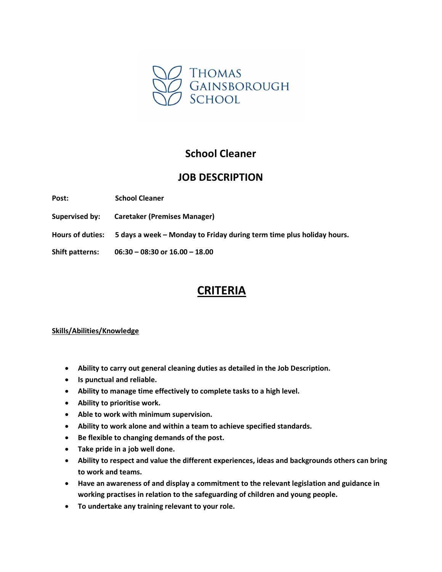

## School Cleaner

## JOB DESCRIPTION

Post: School Cleaner

Supervised by: Caretaker (Premises Manager)

Hours of duties: 5 days a week – Monday to Friday during term time plus holiday hours.

Shift patterns: 06:30 – 08:30 or 16.00 – 18.00

# CRITERIA

#### Skills/Abilities/Knowledge

- Ability to carry out general cleaning duties as detailed in the Job Description.
- Is punctual and reliable.
- Ability to manage time effectively to complete tasks to a high level.
- Ability to prioritise work.
- Able to work with minimum supervision.
- Ability to work alone and within a team to achieve specified standards.
- Be flexible to changing demands of the post.
- Take pride in a job well done.
- Ability to respect and value the different experiences, ideas and backgrounds others can bring to work and teams.
- Have an awareness of and display a commitment to the relevant legislation and guidance in working practises in relation to the safeguarding of children and young people.
- To undertake any training relevant to your role.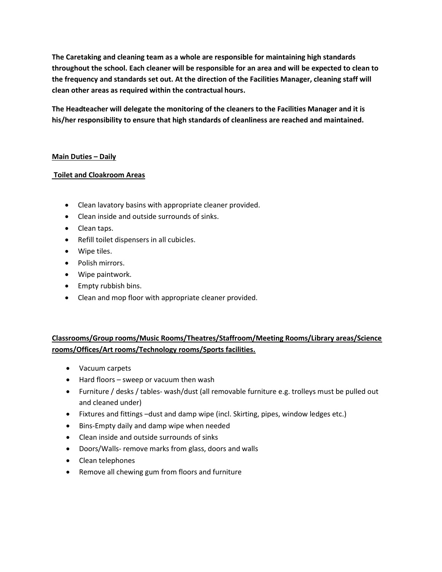The Caretaking and cleaning team as a whole are responsible for maintaining high standards throughout the school. Each cleaner will be responsible for an area and will be expected to clean to the frequency and standards set out. At the direction of the Facilities Manager, cleaning staff will clean other areas as required within the contractual hours.

The Headteacher will delegate the monitoring of the cleaners to the Facilities Manager and it is his/her responsibility to ensure that high standards of cleanliness are reached and maintained.

#### Main Duties – Daily

#### Toilet and Cloakroom Areas

- Clean lavatory basins with appropriate cleaner provided.
- Clean inside and outside surrounds of sinks.
- Clean taps.
- Refill toilet dispensers in all cubicles.
- Wipe tiles.
- Polish mirrors.
- Wipe paintwork.
- Empty rubbish bins.
- Clean and mop floor with appropriate cleaner provided.

### Classrooms/Group rooms/Music Rooms/Theatres/Staffroom/Meeting Rooms/Library areas/Science rooms/Offices/Art rooms/Technology rooms/Sports facilities.

- Vacuum carpets
- Hard floors sweep or vacuum then wash
- Furniture / desks / tables- wash/dust (all removable furniture e.g. trolleys must be pulled out and cleaned under)
- Fixtures and fittings –dust and damp wipe (incl. Skirting, pipes, window ledges etc.)
- Bins-Empty daily and damp wipe when needed
- Clean inside and outside surrounds of sinks
- Doors/Walls- remove marks from glass, doors and walls
- Clean telephones
- Remove all chewing gum from floors and furniture